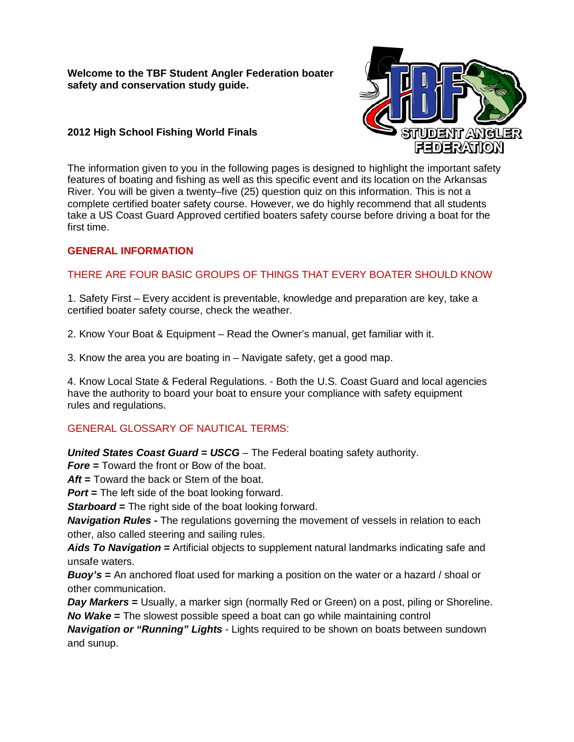**Welcome to the TBF Student Angler Federation boater safety and conservation study guide.** 

# STUDENT ANGL FEDERATION

# **2012 High School Fishing World Finals**

The information given to you in the following pages is designed to highlight the important safety features of boating and fishing as well as this specific event and its location on the Arkansas River. You will be given a twenty–five (25) question quiz on this information. This is not a complete certified boater safety course. However, we do highly recommend that all students take a US Coast Guard Approved certified boaters safety course before driving a boat for the first time.

# **GENERAL INFORMATION**

# THERE ARE FOUR BASIC GROUPS OF THINGS THAT EVERY BOATER SHOULD KNOW

1. Safety First – Every accident is preventable, knowledge and preparation are key, take a certified boater safety course, check the weather.

2. Know Your Boat & Equipment – Read the Owner's manual, get familiar with it.

3. Know the area you are boating in – Navigate safety, get a good map.

4. Know Local State & Federal Regulations. - Both the U.S. Coast Guard and local agencies have the authority to board your boat to ensure your compliance with safety equipment rules and regulations.

# GENERAL GLOSSARY OF NAUTICAL TERMS:

*United States Coast Guard = USCG* – The Federal boating safety authority.

*Fore* **=** Toward the front or Bow of the boat.

*Aft* **=** Toward the back or Stern of the boat.

*Port* = The left side of the boat looking forward.

**Starboard =** The right side of the boat looking forward.

*Navigation Rules* **-** The regulations governing the movement of vessels in relation to each other, also called steering and sailing rules.

**Aids To Navigation =** Artificial objects to supplement natural landmarks indicating safe and unsafe waters.

*Buoy's* **=** An anchored float used for marking a position on the water or a hazard / shoal or other communication.

*Day Markers* = Usually, a marker sign (normally Red or Green) on a post, piling or Shoreline. *No Wake* **=** The slowest possible speed a boat can go while maintaining control

*Navigation or "Running" Lights* - Lights required to be shown on boats between sundown and sunup.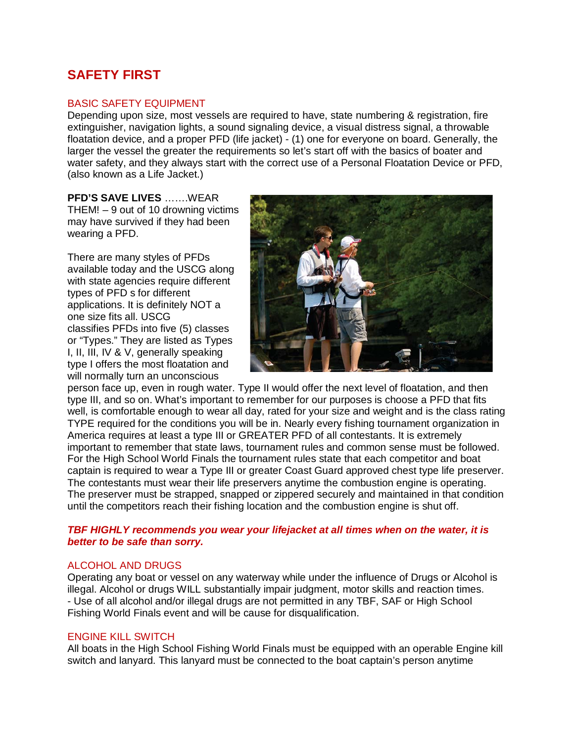# **SAFETY FIRST**

## BASIC SAFETY EQUIPMENT

Depending upon size, most vessels are required to have, state numbering & registration, fire extinguisher, navigation lights, a sound signaling device, a visual distress signal, a throwable floatation device, and a proper PFD (life jacket) - (1) one for everyone on board. Generally, the larger the vessel the greater the requirements so let's start off with the basics of boater and water safety, and they always start with the correct use of a Personal Floatation Device or PFD, (also known as a Life Jacket.)

**PFD'S SAVE LIVES** …….WEAR THEM! – 9 out of 10 drowning victims may have survived if they had been wearing a PFD.

There are many styles of PFDs available today and the USCG along with state agencies require different types of PFD s for different applications. It is definitely NOT a one size fits all. USCG classifies PFDs into five (5) classes or "Types." They are listed as Types I, II, III, IV & V, generally speaking type I offers the most floatation and will normally turn an unconscious



person face up, even in rough water. Type II would offer the next level of floatation, and then type III, and so on. What's important to remember for our purposes is choose a PFD that fits well, is comfortable enough to wear all day, rated for your size and weight and is the class rating TYPE required for the conditions you will be in. Nearly every fishing tournament organization in America requires at least a type III or GREATER PFD of all contestants. It is extremely important to remember that state laws, tournament rules and common sense must be followed. For the High School World Finals the tournament rules state that each competitor and boat captain is required to wear a Type III or greater Coast Guard approved chest type life preserver. The contestants must wear their life preservers anytime the combustion engine is operating. The preserver must be strapped, snapped or zippered securely and maintained in that condition until the competitors reach their fishing location and the combustion engine is shut off.

## *TBF HIGHLY recommends you wear your lifejacket at all times when on the water, it is better to be safe than sorry.*

#### ALCOHOL AND DRUGS

Operating any boat or vessel on any waterway while under the influence of Drugs or Alcohol is illegal. Alcohol or drugs WILL substantially impair judgment, motor skills and reaction times. - Use of all alcohol and/or illegal drugs are not permitted in any TBF, SAF or High School Fishing World Finals event and will be cause for disqualification.

#### ENGINE KILL SWITCH

All boats in the High School Fishing World Finals must be equipped with an operable Engine kill switch and lanyard. This lanyard must be connected to the boat captain's person anytime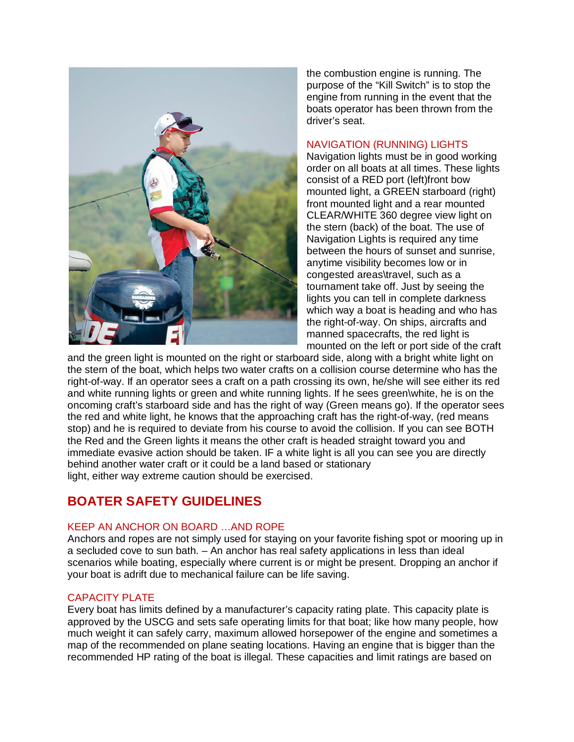

the combustion engine is running. The purpose of the "Kill Switch" is to stop the engine from running in the event that the boats operator has been thrown from the driver's seat.

### NAVIGATION (RUNNING) LIGHTS

Navigation lights must be in good working order on all boats at all times. These lights consist of a RED port (left)front bow mounted light, a GREEN starboard (right) front mounted light and a rear mounted CLEAR/WHITE 360 degree view light on the stern (back) of the boat. The use of Navigation Lights is required any time between the hours of sunset and sunrise, anytime visibility becomes low or in congested areas\travel, such as a tournament take off. Just by seeing the lights you can tell in complete darkness which way a boat is heading and who has the right-of-way. On ships, aircrafts and manned spacecrafts, the red light is mounted on the left or port side of the craft

and the green light is mounted on the right or starboard side, along with a bright white light on the stern of the boat, which helps two water crafts on a collision course determine who has the right-of-way. If an operator sees a craft on a path crossing its own, he/she will see either its red and white running lights or green and white running lights. If he sees green\white, he is on the oncoming craft's starboard side and has the right of way (Green means go). If the operator sees the red and white light, he knows that the approaching craft has the right-of-way, (red means stop) and he is required to deviate from his course to avoid the collision. If you can see BOTH the Red and the Green lights it means the other craft is headed straight toward you and immediate evasive action should be taken. IF a white light is all you can see you are directly behind another water craft or it could be a land based or stationary light, either way extreme caution should be exercised.

# **BOATER SAFETY GUIDELINES**

# KEEP AN ANCHOR ON BOARD …AND ROPE

Anchors and ropes are not simply used for staying on your favorite fishing spot or mooring up in a secluded cove to sun bath. – An anchor has real safety applications in less than ideal scenarios while boating, especially where current is or might be present. Dropping an anchor if your boat is adrift due to mechanical failure can be life saving.

# CAPACITY PLATE

Every boat has limits defined by a manufacturer's capacity rating plate. This capacity plate is approved by the USCG and sets safe operating limits for that boat; like how many people, how much weight it can safely carry, maximum allowed horsepower of the engine and sometimes a map of the recommended on plane seating locations. Having an engine that is bigger than the recommended HP rating of the boat is illegal. These capacities and limit ratings are based on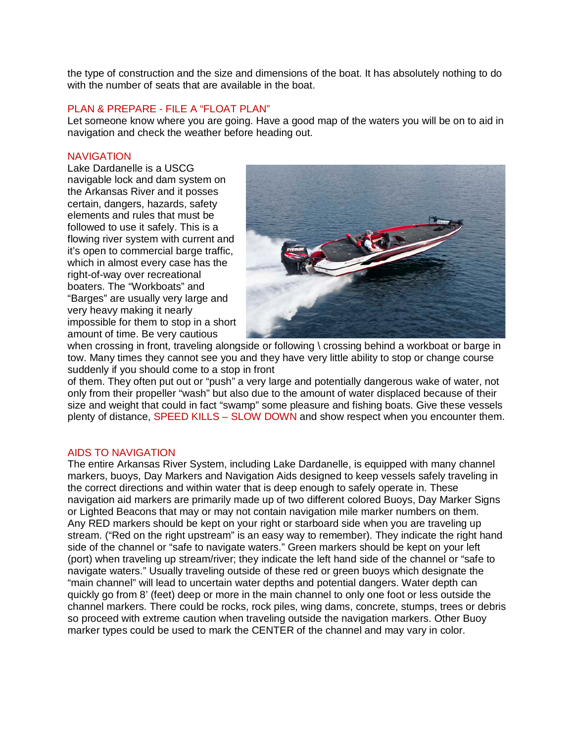the type of construction and the size and dimensions of the boat. It has absolutely nothing to do with the number of seats that are available in the boat.

## PLAN & PREPARE - FILE A "FLOAT PLAN"

Let someone know where you are going. Have a good map of the waters you will be on to aid in navigation and check the weather before heading out.

#### **NAVIGATION**

Lake Dardanelle is a USCG navigable lock and dam system on the Arkansas River and it posses certain, dangers, hazards, safety elements and rules that must be followed to use it safely. This is a flowing river system with current and it's open to commercial barge traffic, which in almost every case has the right-of-way over recreational boaters. The "Workboats" and "Barges" are usually very large and very heavy making it nearly impossible for them to stop in a short amount of time. Be very cautious



when crossing in front, traveling alongside or following \ crossing behind a workboat or barge in tow. Many times they cannot see you and they have very little ability to stop or change course suddenly if you should come to a stop in front

of them. They often put out or "push" a very large and potentially dangerous wake of water, not only from their propeller "wash" but also due to the amount of water displaced because of their size and weight that could in fact "swamp" some pleasure and fishing boats. Give these vessels plenty of distance, SPEED KILLS – SLOW DOWN and show respect when you encounter them.

#### AIDS TO NAVIGATION

The entire Arkansas River System, including Lake Dardanelle, is equipped with many channel markers, buoys, Day Markers and Navigation Aids designed to keep vessels safely traveling in the correct directions and within water that is deep enough to safely operate in. These navigation aid markers are primarily made up of two different colored Buoys, Day Marker Signs or Lighted Beacons that may or may not contain navigation mile marker numbers on them. Any RED markers should be kept on your right or starboard side when you are traveling up stream. ("Red on the right upstream" is an easy way to remember). They indicate the right hand side of the channel or "safe to navigate waters." Green markers should be kept on your left (port) when traveling up stream/river; they indicate the left hand side of the channel or "safe to navigate waters." Usually traveling outside of these red or green buoys which designate the "main channel" will lead to uncertain water depths and potential dangers. Water depth can quickly go from 8' (feet) deep or more in the main channel to only one foot or less outside the channel markers. There could be rocks, rock piles, wing dams, concrete, stumps, trees or debris so proceed with extreme caution when traveling outside the navigation markers. Other Buoy marker types could be used to mark the CENTER of the channel and may vary in color.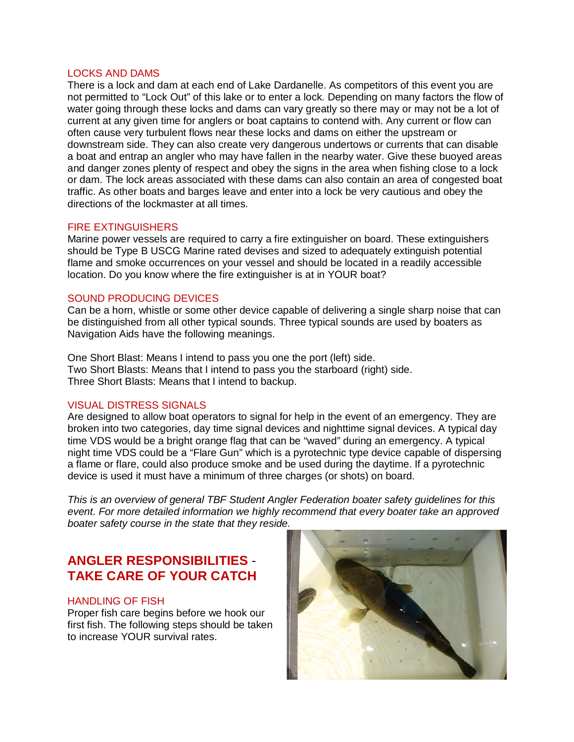#### LOCKS AND DAMS

There is a lock and dam at each end of Lake Dardanelle. As competitors of this event you are not permitted to "Lock Out" of this lake or to enter a lock. Depending on many factors the flow of water going through these locks and dams can vary greatly so there may or may not be a lot of current at any given time for anglers or boat captains to contend with. Any current or flow can often cause very turbulent flows near these locks and dams on either the upstream or downstream side. They can also create very dangerous undertows or currents that can disable a boat and entrap an angler who may have fallen in the nearby water. Give these buoyed areas and danger zones plenty of respect and obey the signs in the area when fishing close to a lock or dam. The lock areas associated with these dams can also contain an area of congested boat traffic. As other boats and barges leave and enter into a lock be very cautious and obey the directions of the lockmaster at all times.

## FIRE EXTINGUISHERS

Marine power vessels are required to carry a fire extinguisher on board. These extinguishers should be Type B USCG Marine rated devises and sized to adequately extinguish potential flame and smoke occurrences on your vessel and should be located in a readily accessible location. Do you know where the fire extinguisher is at in YOUR boat?

#### SOUND PRODUCING DEVICES

Can be a horn, whistle or some other device capable of delivering a single sharp noise that can be distinguished from all other typical sounds. Three typical sounds are used by boaters as Navigation Aids have the following meanings.

One Short Blast: Means I intend to pass you one the port (left) side. Two Short Blasts: Means that I intend to pass you the starboard (right) side. Three Short Blasts: Means that I intend to backup.

## VISUAL DISTRESS SIGNALS

Are designed to allow boat operators to signal for help in the event of an emergency. They are broken into two categories, day time signal devices and nighttime signal devices. A typical day time VDS would be a bright orange flag that can be "waved" during an emergency. A typical night time VDS could be a "Flare Gun" which is a pyrotechnic type device capable of dispersing a flame or flare, could also produce smoke and be used during the daytime. If a pyrotechnic device is used it must have a minimum of three charges (or shots) on board.

*This is an overview of general TBF Student Angler Federation boater safety guidelines for this event. For more detailed information we highly recommend that every boater take an approved boater safety course in the state that they reside.*

# **ANGLER RESPONSIBILITIES** - **TAKE CARE OF YOUR CATCH**

#### HANDLING OF FISH

Proper fish care begins before we hook our first fish. The following steps should be taken to increase YOUR survival rates.

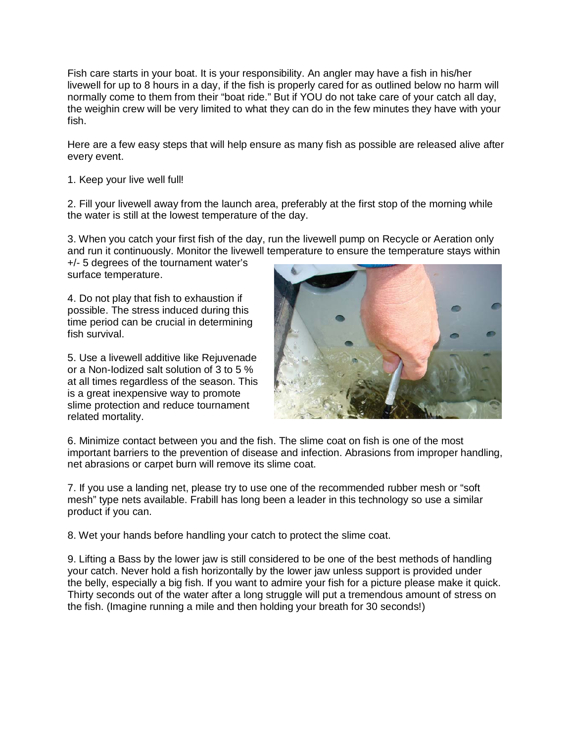Fish care starts in your boat. It is your responsibility. An angler may have a fish in his/her livewell for up to 8 hours in a day, if the fish is properly cared for as outlined below no harm will normally come to them from their "boat ride." But if YOU do not take care of your catch all day, the weighin crew will be very limited to what they can do in the few minutes they have with your fish.

Here are a few easy steps that will help ensure as many fish as possible are released alive after every event.

## 1. Keep your live well full!

2. Fill your livewell away from the launch area, preferably at the first stop of the morning while the water is still at the lowest temperature of the day.

3. When you catch your first fish of the day, run the livewell pump on Recycle or Aeration only and run it continuously. Monitor the livewell temperature to ensure the temperature stays within

+/- 5 degrees of the tournament water's surface temperature.

4. Do not play that fish to exhaustion if possible. The stress induced during this time period can be crucial in determining fish survival.

5. Use a livewell additive like Rejuvenade or a Non-Iodized salt solution of 3 to 5 % at all times regardless of the season. This is a great inexpensive way to promote slime protection and reduce tournament related mortality.



6. Minimize contact between you and the fish. The slime coat on fish is one of the most important barriers to the prevention of disease and infection. Abrasions from improper handling, net abrasions or carpet burn will remove its slime coat.

7. If you use a landing net, please try to use one of the recommended rubber mesh or "soft mesh" type nets available. Frabill has long been a leader in this technology so use a similar product if you can.

8. Wet your hands before handling your catch to protect the slime coat.

9. Lifting a Bass by the lower jaw is still considered to be one of the best methods of handling your catch. Never hold a fish horizontally by the lower jaw unless support is provided under the belly, especially a big fish. If you want to admire your fish for a picture please make it quick. Thirty seconds out of the water after a long struggle will put a tremendous amount of stress on the fish. (Imagine running a mile and then holding your breath for 30 seconds!)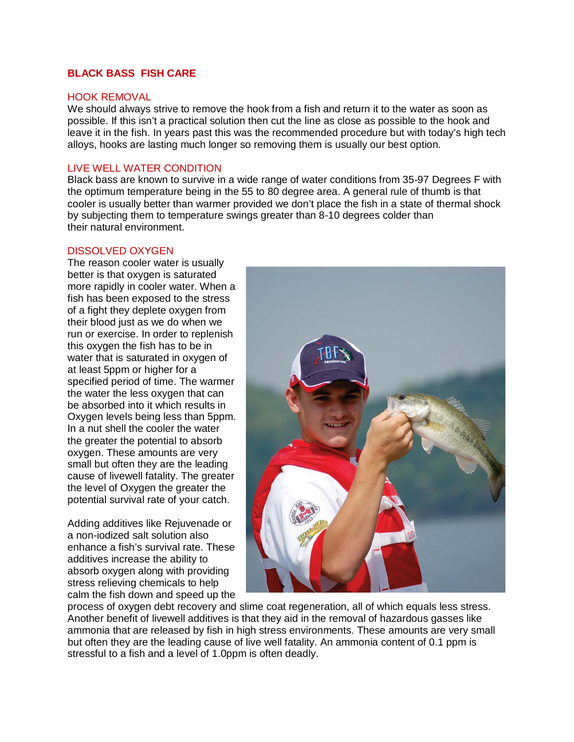# **BLACK BASS FISH CARE**

#### HOOK REMOVAL

We should always strive to remove the hook from a fish and return it to the water as soon as possible. If this isn't a practical solution then cut the line as close as possible to the hook and leave it in the fish. In years past this was the recommended procedure but with today's high tech alloys, hooks are lasting much longer so removing them is usually our best option.

## LIVE WELL WATER CONDITION

Black bass are known to survive in a wide range of water conditions from 35-97 Degrees F with the optimum temperature being in the 55 to 80 degree area. A general rule of thumb is that cooler is usually better than warmer provided we don't place the fish in a state of thermal shock by subjecting them to temperature swings greater than 8-10 degrees colder than their natural environment.

#### DISSOLVED OXYGEN

The reason cooler water is usually better is that oxygen is saturated more rapidly in cooler water. When a fish has been exposed to the stress of a fight they deplete oxygen from their blood just as we do when we run or exercise. In order to replenish this oxygen the fish has to be in water that is saturated in oxygen of at least 5ppm or higher for a specified period of time. The warmer the water the less oxygen that can be absorbed into it which results in Oxygen levels being less than 5ppm. In a nut shell the cooler the water the greater the potential to absorb oxygen. These amounts are very small but often they are the leading cause of livewell fatality. The greater the level of Oxygen the greater the potential survival rate of your catch.

Adding additives like Rejuvenade or a non-iodized salt solution also enhance a fish's survival rate. These additives increase the ability to absorb oxygen along with providing stress relieving chemicals to help calm the fish down and speed up the



process of oxygen debt recovery and slime coat regeneration, all of which equals less stress. Another benefit of livewell additives is that they aid in the removal of hazardous gasses like ammonia that are released by fish in high stress environments. These amounts are very small but often they are the leading cause of live well fatality. An ammonia content of 0.1 ppm is stressful to a fish and a level of 1.0ppm is often deadly.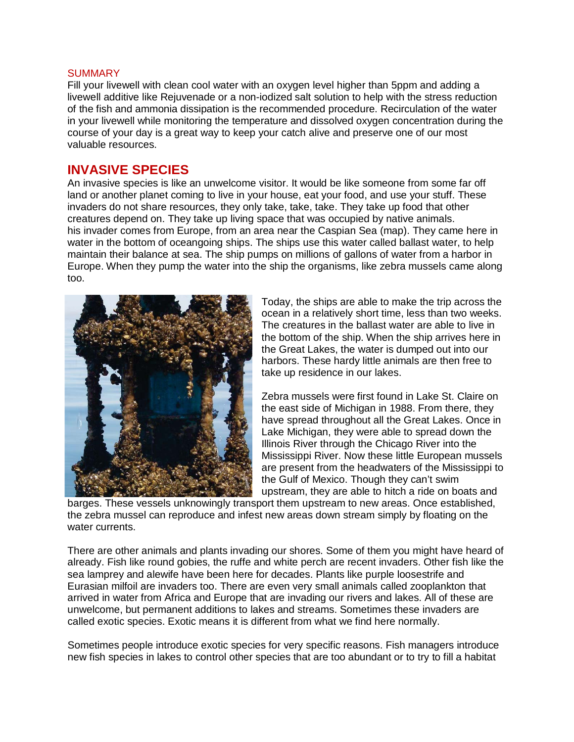#### **SUMMARY**

Fill your livewell with clean cool water with an oxygen level higher than 5ppm and adding a livewell additive like Rejuvenade or a non-iodized salt solution to help with the stress reduction of the fish and ammonia dissipation is the recommended procedure. Recirculation of the water in your livewell while monitoring the temperature and dissolved oxygen concentration during the course of your day is a great way to keep your catch alive and preserve one of our most valuable resources.

# **INVASIVE SPECIES**

An invasive species is like an unwelcome visitor. It would be like someone from some far off land or another planet coming to live in your house, eat your food, and use your stuff. These invaders do not share resources, they only take, take, take. They take up food that other creatures depend on. They take up living space that was occupied by native animals. his invader comes from Europe, from an area near the Caspian Sea (map). They came here in water in the bottom of oceangoing ships. The ships use this water called ballast water, to help maintain their balance at sea. The ship pumps on millions of gallons of water from a harbor in Europe. When they pump the water into the ship the organisms, like zebra mussels came along too.



Today, the ships are able to make the trip across the ocean in a relatively short time, less than two weeks. The creatures in the ballast water are able to live in the bottom of the ship. When the ship arrives here in the Great Lakes, the water is dumped out into our harbors. These hardy little animals are then free to take up residence in our lakes.

Zebra mussels were first found in Lake St. Claire on the east side of Michigan in 1988. From there, they have spread throughout all the Great Lakes. Once in Lake Michigan, they were able to spread down the Illinois River through the Chicago River into the Mississippi River. Now these little European mussels are present from the headwaters of the Mississippi to the Gulf of Mexico. Though they can't swim upstream, they are able to hitch a ride on boats and

barges. These vessels unknowingly transport them upstream to new areas. Once established, the zebra mussel can reproduce and infest new areas down stream simply by floating on the water currents.

There are other animals and plants invading our shores. Some of them you might have heard of already. Fish like round gobies, the ruffe and white perch are recent invaders. Other fish like the sea lamprey and alewife have been here for decades. Plants like purple loosestrife and Eurasian milfoil are invaders too. There are even very small animals called zooplankton that arrived in water from Africa and Europe that are invading our rivers and lakes. All of these are unwelcome, but permanent additions to lakes and streams. Sometimes these invaders are called exotic species. Exotic means it is different from what we find here normally.

Sometimes people introduce exotic species for very specific reasons. Fish managers introduce new fish species in lakes to control other species that are too abundant or to try to fill a habitat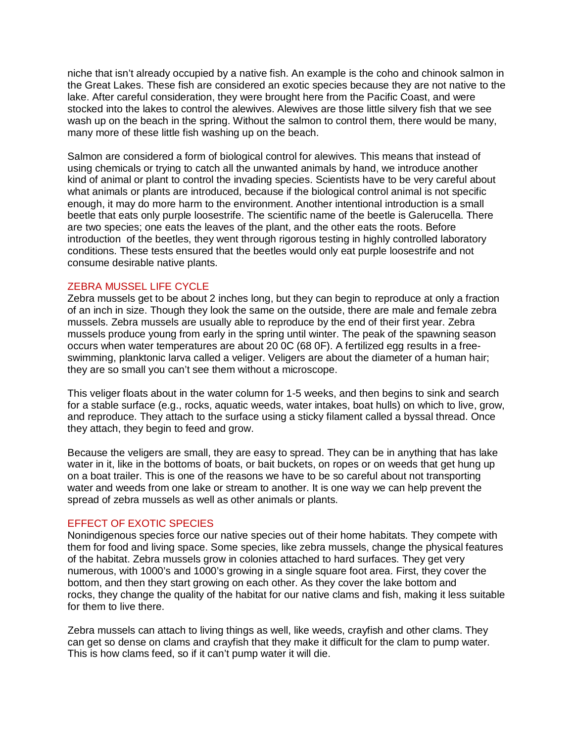niche that isn't already occupied by a native fish. An example is the coho and chinook salmon in the Great Lakes. These fish are considered an exotic species because they are not native to the lake. After careful consideration, they were brought here from the Pacific Coast, and were stocked into the lakes to control the alewives. Alewives are those little silvery fish that we see wash up on the beach in the spring. Without the salmon to control them, there would be many, many more of these little fish washing up on the beach.

Salmon are considered a form of biological control for alewives. This means that instead of using chemicals or trying to catch all the unwanted animals by hand, we introduce another kind of animal or plant to control the invading species. Scientists have to be very careful about what animals or plants are introduced, because if the biological control animal is not specific enough, it may do more harm to the environment. Another intentional introduction is a small beetle that eats only purple loosestrife. The scientific name of the beetle is Galerucella. There are two species; one eats the leaves of the plant, and the other eats the roots. Before introduction of the beetles, they went through rigorous testing in highly controlled laboratory conditions. These tests ensured that the beetles would only eat purple loosestrife and not consume desirable native plants.

## ZEBRA MUSSEL LIFE CYCLE

Zebra mussels get to be about 2 inches long, but they can begin to reproduce at only a fraction of an inch in size. Though they look the same on the outside, there are male and female zebra mussels. Zebra mussels are usually able to reproduce by the end of their first year. Zebra mussels produce young from early in the spring until winter. The peak of the spawning season occurs when water temperatures are about 20 0C (68 0F). A fertilized egg results in a freeswimming, planktonic larva called a veliger. Veligers are about the diameter of a human hair; they are so small you can't see them without a microscope.

This veliger floats about in the water column for 1-5 weeks, and then begins to sink and search for a stable surface (e.g., rocks, aquatic weeds, water intakes, boat hulls) on which to live, grow, and reproduce. They attach to the surface using a sticky filament called a byssal thread. Once they attach, they begin to feed and grow.

Because the veligers are small, they are easy to spread. They can be in anything that has lake water in it, like in the bottoms of boats, or bait buckets, on ropes or on weeds that get hung up on a boat trailer. This is one of the reasons we have to be so careful about not transporting water and weeds from one lake or stream to another. It is one way we can help prevent the spread of zebra mussels as well as other animals or plants.

# EFFECT OF EXOTIC SPECIES

Nonindigenous species force our native species out of their home habitats. They compete with them for food and living space. Some species, like zebra mussels, change the physical features of the habitat. Zebra mussels grow in colonies attached to hard surfaces. They get very numerous, with 1000's and 1000's growing in a single square foot area. First, they cover the bottom, and then they start growing on each other. As they cover the lake bottom and rocks, they change the quality of the habitat for our native clams and fish, making it less suitable for them to live there.

Zebra mussels can attach to living things as well, like weeds, crayfish and other clams. They can get so dense on clams and crayfish that they make it difficult for the clam to pump water. This is how clams feed, so if it can't pump water it will die.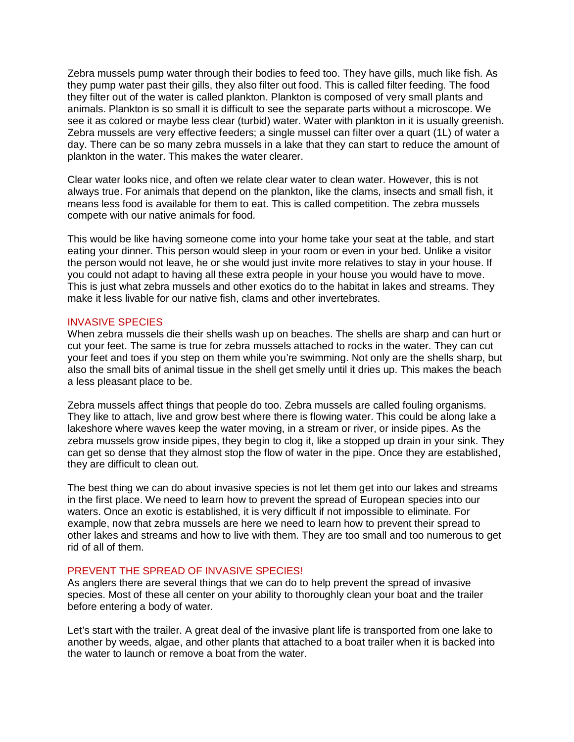Zebra mussels pump water through their bodies to feed too. They have gills, much like fish. As they pump water past their gills, they also filter out food. This is called filter feeding. The food they filter out of the water is called plankton. Plankton is composed of very small plants and animals. Plankton is so small it is difficult to see the separate parts without a microscope. We see it as colored or maybe less clear (turbid) water. Water with plankton in it is usually greenish. Zebra mussels are very effective feeders; a single mussel can filter over a quart (1L) of water a day. There can be so many zebra mussels in a lake that they can start to reduce the amount of plankton in the water. This makes the water clearer.

Clear water looks nice, and often we relate clear water to clean water. However, this is not always true. For animals that depend on the plankton, like the clams, insects and small fish, it means less food is available for them to eat. This is called competition. The zebra mussels compete with our native animals for food.

This would be like having someone come into your home take your seat at the table, and start eating your dinner. This person would sleep in your room or even in your bed. Unlike a visitor the person would not leave, he or she would just invite more relatives to stay in your house. If you could not adapt to having all these extra people in your house you would have to move. This is just what zebra mussels and other exotics do to the habitat in lakes and streams. They make it less livable for our native fish, clams and other invertebrates.

#### INVASIVE SPECIES

When zebra mussels die their shells wash up on beaches. The shells are sharp and can hurt or cut your feet. The same is true for zebra mussels attached to rocks in the water. They can cut your feet and toes if you step on them while you're swimming. Not only are the shells sharp, but also the small bits of animal tissue in the shell get smelly until it dries up. This makes the beach a less pleasant place to be.

Zebra mussels affect things that people do too. Zebra mussels are called fouling organisms. They like to attach, live and grow best where there is flowing water. This could be along lake a lakeshore where waves keep the water moving, in a stream or river, or inside pipes. As the zebra mussels grow inside pipes, they begin to clog it, like a stopped up drain in your sink. They can get so dense that they almost stop the flow of water in the pipe. Once they are established, they are difficult to clean out.

The best thing we can do about invasive species is not let them get into our lakes and streams in the first place. We need to learn how to prevent the spread of European species into our waters. Once an exotic is established, it is very difficult if not impossible to eliminate. For example, now that zebra mussels are here we need to learn how to prevent their spread to other lakes and streams and how to live with them. They are too small and too numerous to get rid of all of them.

#### PREVENT THE SPREAD OF INVASIVE SPECIES!

As anglers there are several things that we can do to help prevent the spread of invasive species. Most of these all center on your ability to thoroughly clean your boat and the trailer before entering a body of water.

Let's start with the trailer. A great deal of the invasive plant life is transported from one lake to another by weeds, algae, and other plants that attached to a boat trailer when it is backed into the water to launch or remove a boat from the water.